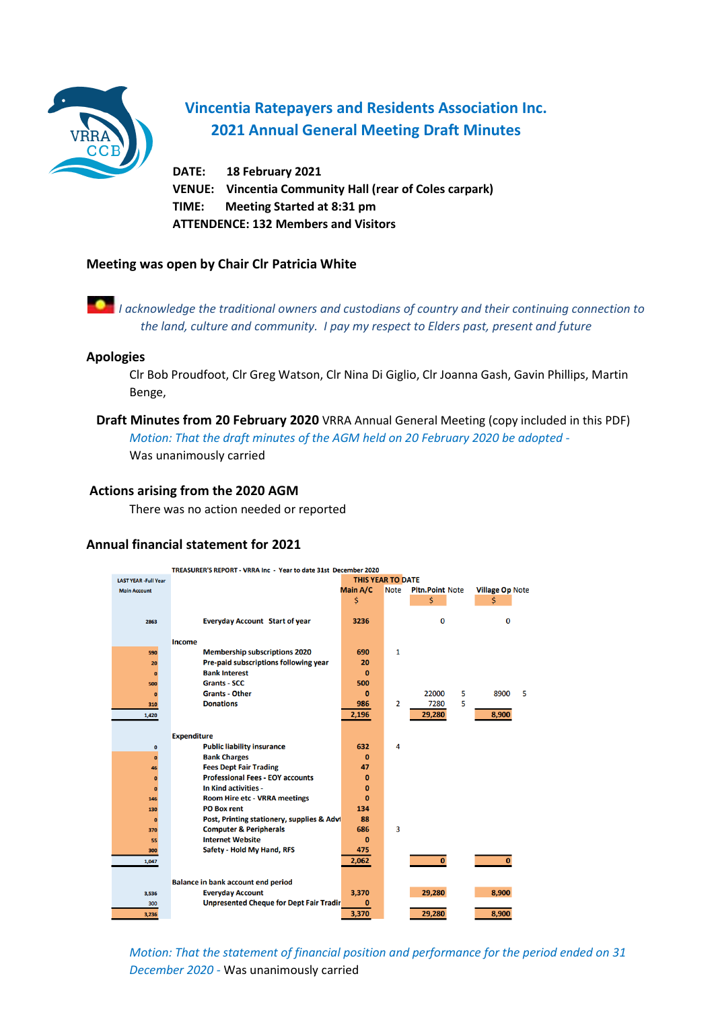

# **Vincentia Ratepayers and Residents Association Inc. 2021 Annual General Meeting Draft Minutes**

**DATE: 18 February 2021 VENUE: Vincentia Community Hall (rear of Coles carpark) TIME: Meeting Started at 8:31 pm ATTENDENCE: 132 Members and Visitors**

#### **Meeting was open by Chair Clr Patricia White**



#### **Apologies**

Clr Bob Proudfoot, Clr Greg Watson, Clr Nina Di Giglio, Clr Joanna Gash, Gavin Phillips, Martin Benge,

 **Draft Minutes from 20 February 2020** VRRA Annual General Meeting (copy included in this PDF) *Motion: That the draft minutes of the AGM held on 20 February 2020 be adopted -*  Was unanimously carried

#### **Actions arising from the 2020 AGM**

There was no action needed or reported

#### **Annual financial statement for 2021**

|                             | TREASURER'S REPORT - VRRA Inc - Year to date 31st December 2020 |                          |                |                        |   |                        |  |
|-----------------------------|-----------------------------------------------------------------|--------------------------|----------------|------------------------|---|------------------------|--|
| <b>LAST YEAR -Full Year</b> |                                                                 | <b>THIS YEAR TO DATE</b> |                |                        |   |                        |  |
| <b>Main Account</b>         |                                                                 | Main A/C                 | <b>Note</b>    | <b>Pltn.Point Note</b> |   | <b>Village Op Note</b> |  |
|                             |                                                                 | \$                       |                | \$                     |   | \$                     |  |
|                             |                                                                 |                          |                |                        |   |                        |  |
| 2863                        | <b>Everyday Account Start of year</b>                           | 3236                     |                | 0                      |   | 0                      |  |
|                             |                                                                 |                          |                |                        |   |                        |  |
|                             | Income                                                          |                          |                |                        |   |                        |  |
| 590                         | <b>Membership subscriptions 2020</b>                            | 690                      | $\mathbf{1}$   |                        |   |                        |  |
| 20                          | Pre-paid subscriptions following year                           | 20                       |                |                        |   |                        |  |
| $\Omega$                    | <b>Bank Interest</b>                                            | $\bf{0}$                 |                |                        |   |                        |  |
| 500                         | <b>Grants - SCC</b>                                             | 500                      |                |                        |   |                        |  |
| $\Omega$                    | <b>Grants - Other</b>                                           | $\mathbf{0}$             |                | 22000                  | 5 | 8900<br>5              |  |
| 310                         | <b>Donations</b>                                                | 986                      | $\overline{2}$ | 7280                   | 5 |                        |  |
| 1,420                       |                                                                 | 2,196                    |                | 29,280                 |   | 8,900                  |  |
|                             |                                                                 |                          |                |                        |   |                        |  |
|                             | <b>Expenditure</b>                                              |                          |                |                        |   |                        |  |
| $\mathbf 0$                 | <b>Public liability insurance</b>                               | 632                      | 4              |                        |   |                        |  |
| $\bullet$                   | <b>Bank Charges</b>                                             | $\bf{0}$                 |                |                        |   |                        |  |
| 46                          | <b>Fees Dept Fair Trading</b>                                   | 47                       |                |                        |   |                        |  |
| $\mathbf{0}$                | <b>Professional Fees - EOY accounts</b>                         | $\mathbf{0}$             |                |                        |   |                        |  |
| $\Omega$                    | In Kind activities -                                            | $\bf{0}$                 |                |                        |   |                        |  |
| 146                         | <b>Room Hire etc - VRRA meetings</b>                            | $\Omega$                 |                |                        |   |                        |  |
| 130                         | <b>PO Box rent</b>                                              | 134                      |                |                        |   |                        |  |
| $\bf{0}$                    | Post, Printing stationery, supplies & Advi                      | 88                       |                |                        |   |                        |  |
| 370                         | <b>Computer &amp; Peripherals</b>                               | 686                      | 3              |                        |   |                        |  |
| 55                          | <b>Internet Website</b>                                         | $\bf{0}$                 |                |                        |   |                        |  |
| 300                         | Safety - Hold My Hand, RFS                                      | 475                      |                |                        |   |                        |  |
| 1,047                       |                                                                 | 2,062                    |                | $\mathbf{0}$           |   | $\mathbf{0}$           |  |
|                             |                                                                 |                          |                |                        |   |                        |  |
|                             | <b>Balance in bank account end period</b>                       |                          |                |                        |   |                        |  |
| 3,536                       | <b>Everyday Account</b>                                         | 3,370                    |                | 29,280                 |   | 8,900                  |  |
| 300                         | <b>Unpresented Cheque for Dept Fair Tradir</b>                  | 0                        |                |                        |   |                        |  |
| 3,236                       |                                                                 | 3,370                    |                | 29,280                 |   | 8,900                  |  |
|                             |                                                                 |                          |                |                        |   |                        |  |

*Motion: That the statement of financial position and performance for the period ended on 31 December 2020 -* Was unanimously carried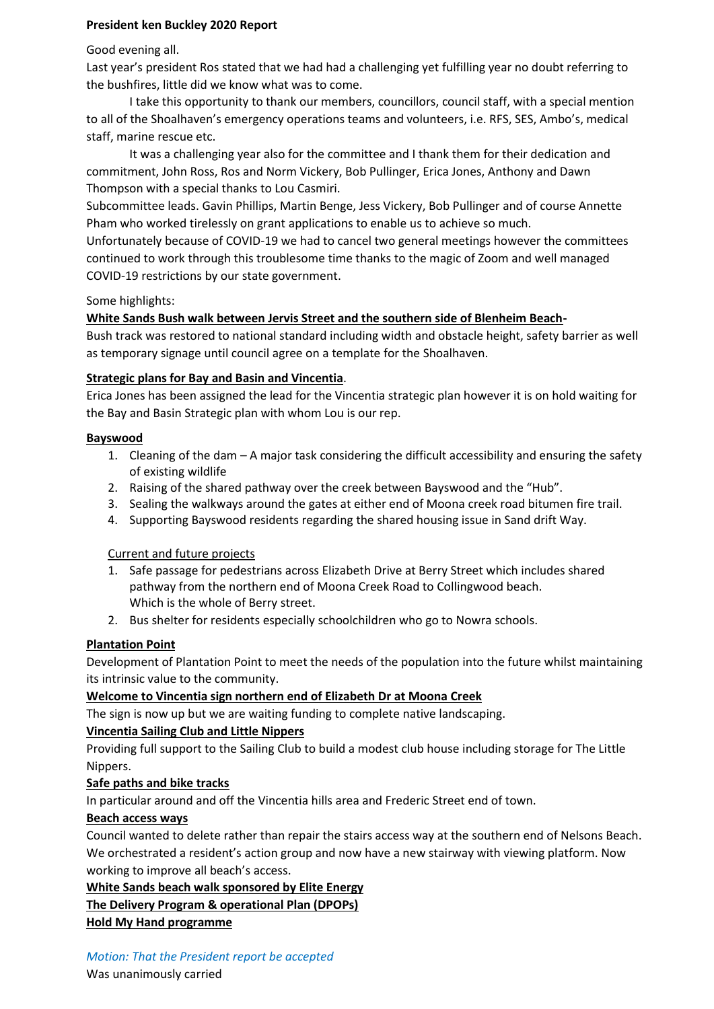### **President ken Buckley 2020 Report**

Good evening all.

Last year's president Ros stated that we had had a challenging yet fulfilling year no doubt referring to the bushfires, little did we know what was to come.

I take this opportunity to thank our members, councillors, council staff, with a special mention to all of the Shoalhaven's emergency operations teams and volunteers, i.e. RFS, SES, Ambo's, medical staff, marine rescue etc.

It was a challenging year also for the committee and I thank them for their dedication and commitment, John Ross, Ros and Norm Vickery, Bob Pullinger, Erica Jones, Anthony and Dawn Thompson with a special thanks to Lou Casmiri.

Subcommittee leads. Gavin Phillips, Martin Benge, Jess Vickery, Bob Pullinger and of course Annette Pham who worked tirelessly on grant applications to enable us to achieve so much.

Unfortunately because of COVID-19 we had to cancel two general meetings however the committees continued to work through this troublesome time thanks to the magic of Zoom and well managed COVID-19 restrictions by our state government.

## Some highlights:

# **White Sands Bush walk between Jervis Street and the southern side of Blenheim Beach-**

Bush track was restored to national standard including width and obstacle height, safety barrier as well as temporary signage until council agree on a template for the Shoalhaven.

### **Strategic plans for Bay and Basin and Vincentia**.

Erica Jones has been assigned the lead for the Vincentia strategic plan however it is on hold waiting for the Bay and Basin Strategic plan with whom Lou is our rep.

## **Bayswood**

- 1. Cleaning of the dam A major task considering the difficult accessibility and ensuring the safety of existing wildlife
- 2. Raising of the shared pathway over the creek between Bayswood and the "Hub".
- 3. Sealing the walkways around the gates at either end of Moona creek road bitumen fire trail.
- 4. Supporting Bayswood residents regarding the shared housing issue in Sand drift Way.

Current and future projects

- 1. Safe passage for pedestrians across Elizabeth Drive at Berry Street which includes shared pathway from the northern end of Moona Creek Road to Collingwood beach. Which is the whole of Berry street.
- 2. Bus shelter for residents especially schoolchildren who go to Nowra schools.

# **Plantation Point**

Development of Plantation Point to meet the needs of the population into the future whilst maintaining its intrinsic value to the community.

### **Welcome to Vincentia sign northern end of Elizabeth Dr at Moona Creek**

The sign is now up but we are waiting funding to complete native landscaping.

### **Vincentia Sailing Club and Little Nippers**

Providing full support to the Sailing Club to build a modest club house including storage for The Little Nippers.

### **Safe paths and bike tracks**

In particular around and off the Vincentia hills area and Frederic Street end of town.

### **Beach access ways**

Council wanted to delete rather than repair the stairs access way at the southern end of Nelsons Beach. We orchestrated a resident's action group and now have a new stairway with viewing platform. Now working to improve all beach's access.

**White Sands beach walk sponsored by Elite Energy**

**The Delivery Program & operational Plan (DPOPs)**

**Hold My Hand programme**

### *Motion: That the President report be accepted*

Was unanimously carried